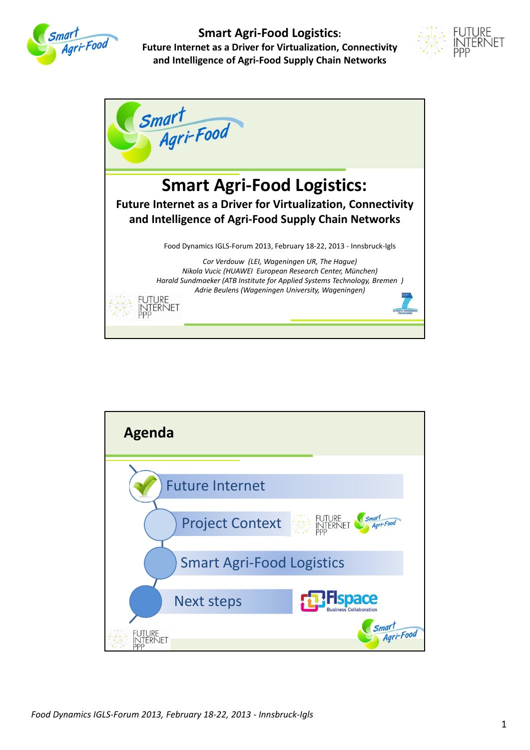





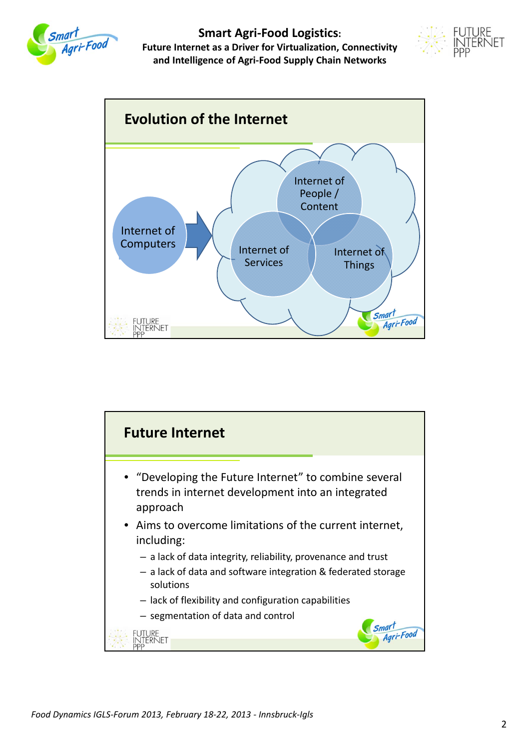





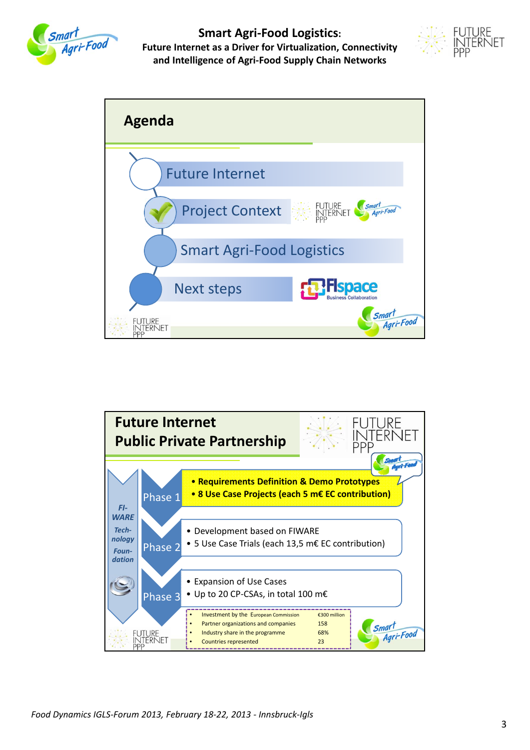





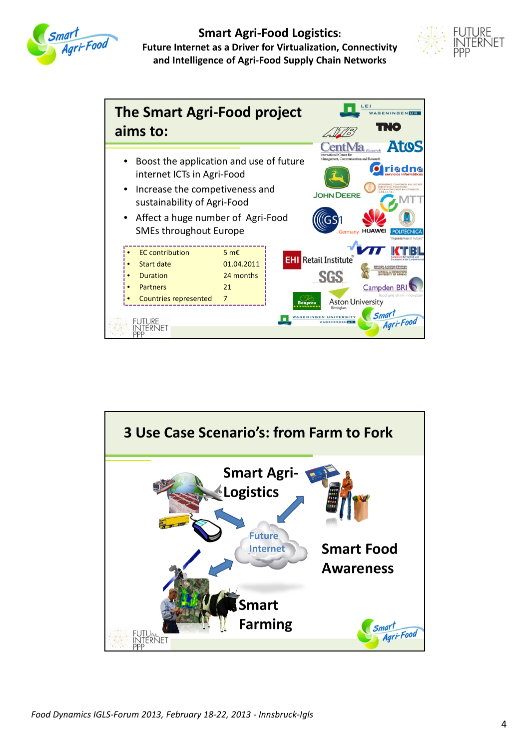





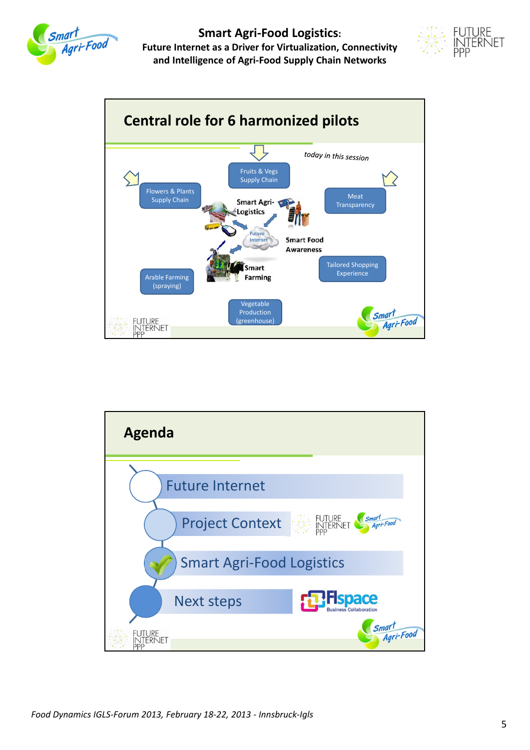





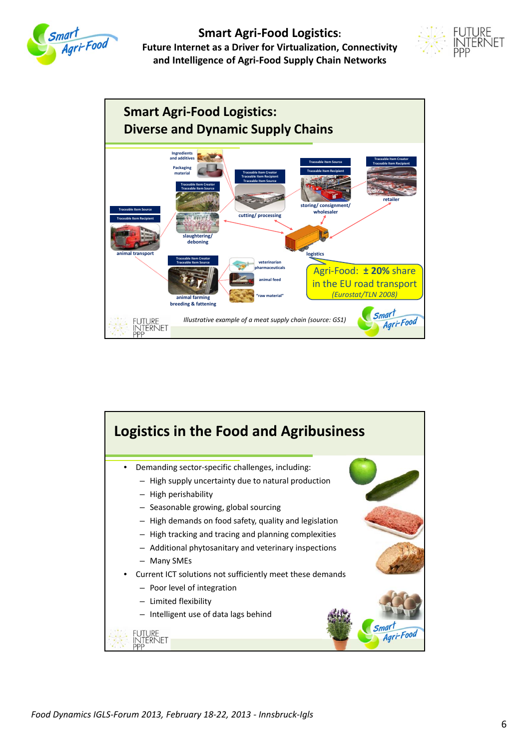





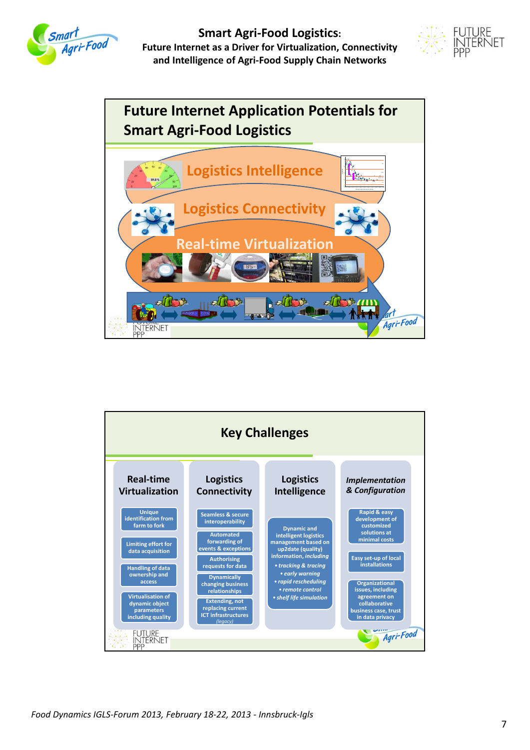



#### **Future Internet Application Potentials for Smart Agri‐Food Logistics Logistics Intelligence Ultimate pH** normal or PSE 0 10 20 30 40 50 60 70 80 90 100 **Glycongen concn. (µmol glucose equiv./g) Logistics Connectivity Real‐time Virtualization** 脆  $\widehat{d}$ 检图 al ll  $\overline{\mathbf{a}}$ 朴村 **MILLER** 22 TO Agri-Food INTERNET<br>PPP

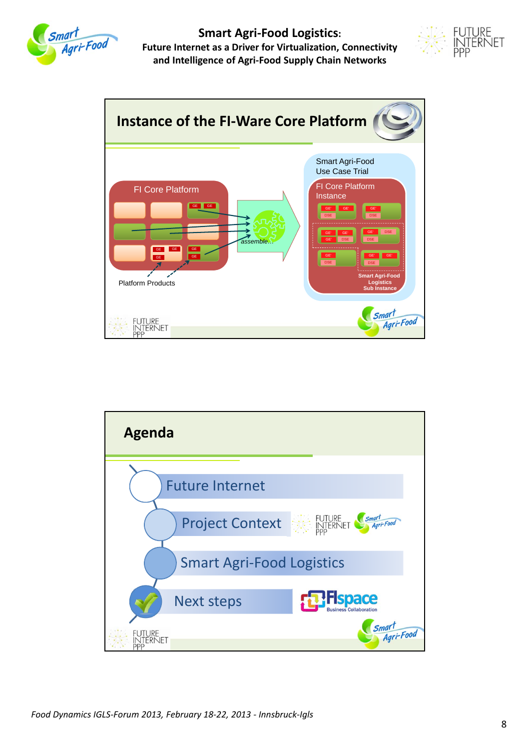





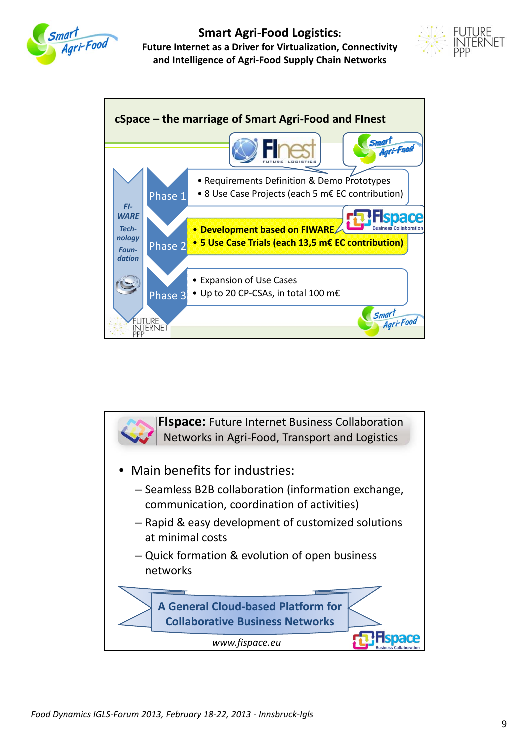